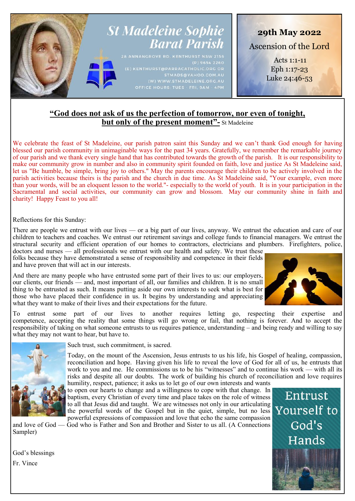

# **"God does not ask of us the perfection of tomorrow, nor even of tonight, but only of the present moment"-** St Madeleine

We celebrate the feast of St Madeleine, our parish patron saint this Sunday and we can't thank God enough for having blessed our parish community in unimaginable ways for the past 34 years. Gratefully, we remember the remarkable journey of our parish and we thank every single hand that has contributed towards the growth of the parish. It is our responsibility to make our community grow in number and also in community spirit founded on faith, love and justice As St Madeleine said, let us "Be humble, be simple, bring joy to others." May the parents encourage their children to be actively involved in the parish activities because theirs is the parish and the church in due time. As St Madeleine said, "Your example, even more than your words, will be an eloquent lesson to the world."- especially to the world of youth. It is in your participation in the Sacramental and social activities, our community can grow and blossom. May our community shine in faith and charity! Happy Feast to you all!

Reflections for this Sunday:

There are people we entrust with our lives — or a big part of our lives, anyway. We entrust the education and care of our children to teachers and coaches. We entrust our retirement savings and college funds to financial managers. We entrust the structural security and efficient operation of our homes to contractors, electricians and plumbers. Firefighters, police, doctors and nurses — all professionals we entrust with our health and safety. We trust these

folks because they have demonstrated a sense of responsibility and competence in their fields and have proven that will act in our interests.

And there are many people who have entrusted some part of their lives to us: our employers, our clients, our friends — and, most important of all, our families and children. It is no small thing to be entrusted as such. It means putting aside our own interests to seek what is best for those who have placed their confidence in us. It begins by understanding and appreciating what they want to make of their lives and their expectations for the future.



To entrust some part of our lives to another requires letting go, respecting their expertise and competence, accepting the reality that some things will go wrong or fail, that nothing is forever. And to accept the responsibility of taking on what someone entrusts to us requires patience, understanding – and being ready and willing to say what they may not want to hear, but have to.



Such trust, such commitment, is sacred.

Today, on the mount of the Ascension, Jesus entrusts to us his life, his Gospel of healing, compassion, reconciliation and hope. Having given his life to reveal the love of God for all of us, he entrusts that work to you and me. He commissions us to be his "witnesses" and to continue his work — with all its risks and despite all our doubts. The work of building his church of reconciliation and love requires

humility, respect, patience; it asks us to let go of our own interests and wants to open our hearts to change and a willingness to cope with that change. In baptism, every Christian of every time and place takes on the role of witness to all that Jesus did and taught. We are witnesses not only in our articulating the powerful words of the Gospel but in the quiet, simple, but no less powerful expressions of compassion and love that echo the same compassion

and love of God — God who is Father and Son and Brother and Sister to us all. (A Connections Sampler)

God's blessings Fr. Vince

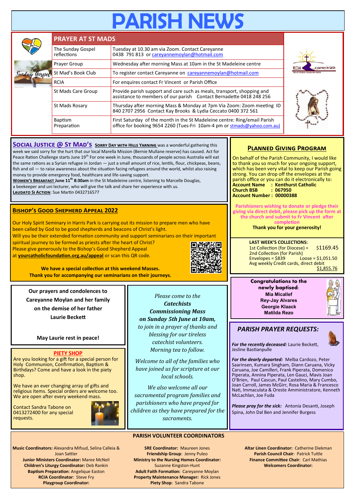# **RISH NE**

|  | <b>PRAYER AT ST MADS</b>         |                                                                                                                                                       |                            |  |  |  |  |
|--|----------------------------------|-------------------------------------------------------------------------------------------------------------------------------------------------------|----------------------------|--|--|--|--|
|  | The Sunday Gospel<br>reflections | Tuesday at 10.30 am via Zoom. Contact Careyanne<br>0438 791 813 or careyannemoylan@hotmail.com                                                        |                            |  |  |  |  |
|  | Prayer Group                     | Wednesday after morning Mass at 10am in the St Madeleine centre                                                                                       | a journey in faith<br>rcia |  |  |  |  |
|  | St Mad's Book Club               | To register contact Careyanne on careyannemoylan@hotmail.com                                                                                          |                            |  |  |  |  |
|  | <b>RCIA</b>                      | For enquires contact Fr Vincent or Parish Office                                                                                                      |                            |  |  |  |  |
|  | St Mads Care Group               | Provide parish support and care such as meals, transport, shopping and<br>assistance to members of our parish Contact Bernadette 0418 248 256         |                            |  |  |  |  |
|  | St Mads Rosary                   | Thursday after morning Mass & Monday at 7pm Via Zoom: Zoom meeting ID<br>840 2707 2956 Contact Kay Brooks & Lydia Ceccato 0400 372 561                |                            |  |  |  |  |
|  | <b>Baptism</b><br>Preparation    | First Saturday of the month in the St Madeleine centre: Ring/email Parish<br>office for booking 9654 2260 (Tues-Fri 10am-4 pm or stmads@yahoo.com.au) |                            |  |  |  |  |

**SOCIAL JUSTICE @ ST MAD'S SORRY DAY WITH HILLS YARNING** was a wonderful gathering this week we said sorry for the hurt that our local Marella Mission (Bernie Mullane reserve) has caused. Act for Peace Ration Challenge starts June 19<sup>th</sup> For one week in June, thousands of people across Australia will eat the same rations as a Syrian refugee in Jordan — just a small amount of rice, lentils, flour, chickpeas, beans, fish and oil — to raise awareness about the situation facing refugees around the world, whilst also raising money to provide emergency food, healthcare and life-saving support.

**Women's Breakfast June 11th 8:30am** in the St Madeleine centre, listening to Marcelle Douglas, a beekeeper and uni lecturer, who will give the talk and share her experience with us. **Laudato Si Action**: Sue Martin 0432716577

# **Bishop's Good Shepherd Appeal 2022**

Our Holy Spirit Seminary in Harris Park is carrying out its mission to prepare men who have been called by God to be good shepherds and beacons of Christ's light. Will you be their extended formation community and support seminarians on their important spiritual journey to be formed as priests after the heart of Christ? Please give generously to the Bishop's Good Shepherd Appeal at **yourcatholicfoundation.org.au/appeal** or scan this QR code.



**We have a special collection at this weekend Masses. Thank you for accompanying our seminarians on their journeys.**

**Our prayers and condolences to** 

**Careyanne Moylan and her family** 

**on the demise of her father Laurie Beckett**

**May Laurie rest in peace!**

# **PIETY SHOP**

Are you looking for a gift for a special person for Holy Communion, Confirmation, Baptism & Birthdays? Come and have a look in the piety shop.

We have an ever changing array of gifts and religious items. Special orders are welcome too. We are open after every weekend mass

Contact Sandra Tabone on 0413272400 for any special requests.



**Music Coordinators:** Alexandra Mifsud, Selina Calleia & Joan Sattler **Junior Ministers Coordinator:** Maree McNeil **Children's Liturgy Coordinator:** Deb Rankin **Baptism Preparation**: Angelique Easton **RCIA Coordinator**: Steve Fry **Playgroup Coordinator:** 

**SRE Coordinator:** Maureen Jones **Friendship Group**: Jenny Puleo **Ministry to the Nursing Homes Coordinator:**  Suzanne Kingston-Hunt **Adult Faith Formation:** Careyanne Moylan **Property Maintenance Manager:** Rick Jones **Piety Shop**: Sandra Tabone

**PARISH VOLUNTEER COORDINATORS**

*Please come to the Catechists Commissioning Mass on Sunday 5th June at 10am, to join in a prayer of thanks and blessing for our tireless catechist volunteers. Morning tea to follow. Welcome to all of the families who have joined us for scripture at our local schools. We also welcome all our sacramental program families and parishioners who have prayed for children as they have prepared for the sacraments.*

# **Planned Giving Program**

On behalf of the Parish Community, I would like to thank you so much for your ongoing support, which has been very vital to keep our Parish going strong. You can drop off the envelopes at the parish office or you can do it electronically to: **Account Name : Kenthurst Catholic Church BSB Account Number : 00000388**

**Parishioners wishing to donate or pledge their giving via direct debit, please pick up the form at the church and submit to Fr Vincent after completion**

**Thank you for your generosity!**

**LAST WEEK'S COLLECTIONS:** 1st Collection (for Diocese) = \$1169.45 2nd Collection (for Parish)<br>Envelopes = \$839 Lo  $Loose = $1,051.50$ Avg weekly Credit cards, direct debit \$1,855.76

**Congratulations to the newly baptised: Mia Micallef Rey-Jay Alvares Georgie Klaack Matilda Rezo**

# *PARISH PRAYER REQUESTS:*

*For the recently deceased:* Laurie Beckett, Jesline Bastianpulle

*For the dearly departed:* Melba Cardozo, Peter Saarinsen, Kumara Singham, Diann Caruana, Vicky Caruana, Joe Camilleri, Frank Piperata, Domenico Piperata, Annina Piperata, Len Gauci, Mavis Joan O'Brien, Paul Cascun, Paul Castelino, Mary Cumbo, Joan Carroll, James McGirr, Rosa Maria & Francesco Nati, Immaculata & Oreste Amministratore, Kenneth McLachlan, Joe Fuda

*Please pray for the sick:* Antonia Desanti, Joseph Spina, John Dal Ben and Jennifer Burgess

> **Altar Linen Coordinator:** Catherine Diekman **Parish Council Chair**: Patrick Tuttle **Finance Committee Chair**: Carl Mathias **Welcomers Coordinator:**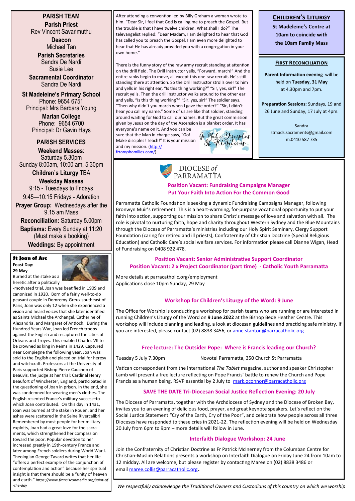**PARISH TEAM Parish Priest** Rev Vincent Savarimuthu

> **Deacon** Michael Tan

**Parish Secretaries** Sandra De Nardi Susie Lee

**Sacramental Coordinator** Sandra De Nardi

**St Madeleine's Primary School** Phone: 9654 6751 Principal: Mrs Barbara Young **Marian College** Phone: 9654 6700

Principal: Dr Gavin Hays

**PARISH SERVICES Weekend Masses**: Saturday 5.30pm Sunday 8:00am, 10:00 am, 5.30pm

**Children's Liturgy** TBA

**Weekday Masses**  9:15 - Tuesdays to Fridays

9:45—10:15 Fridays - Adoration **Prayer Group:** Wednesdays after the

9.15 am Mass **Reconciliation:** Saturday 5.00pm

**Baptisms:** Every Sunday at 11:20 (Must make a booking) **Weddings:** By appointment

#### **St Joan of Arc Feast Day: 29 May**



Burned at the stake as a heretic after a politically

-motivated trial, Joan was beatified in 1909 and canonized in 1920. Born of a fairly well-to-do peasant couple in Domremy-Greux southeast of Paris, Joan was only 12 when she experienced a vision and heard voices that she later identified as Saints Michael the Archangel, Catherine of Alexandria, and Margaret of Antioch. During the Hundred Years War, Joan led French troops against the English and recaptured the cities of Orléans and Troyes. This enabled Charles VII to be crowned as king in Reims in 1429. Captured near Compiegne the following year, Joan was sold to the English and placed on trial for heresy and witchcraft. Professors at the University of Paris supported Bishop Pierre Cauchon of Beauvis, the judge at her trial; Cardinal Henry Beaufort of Winchester, England, participated in the questioning of Joan in prison. In the end, she was condemned for wearing men's clothes. The English resented France's military success–to which Joan contributed. On this day in 1431, Joan was burned at the stake in Rouen, and her ashes were scattered in the Seine Rivercalibri Remembered by most people for her military exploits, Joan had a great love for the sacraments, which strengthened her compassion toward the poor. Popular devotion to her increased greatly in 19th-century France and later among French soldiers during World War I. Theologian George Tavard writes that her life "offers a perfect example of the conjunction of contemplation and action" because her spiritual insight is that there should be a "unity of heaven and earth." *https://www.franciscanmedia.org/saint-of -the-day*

After attending a convention led by Billy Graham a woman wrote to him. "Dear Sir, I feel that God is calling me to preach the Gospel. But the trouble is that I have twelve children. What shall I do?" The televangelist replied: "Dear Madam, I am delighted to hear that God has called you to preach the Gospel. I am even more delighted to hear that He has already provided you with a congregation in your own home."

There is the funny story of the raw army recruit standing at attention on the drill field. The Drill Instructor yells, "Forward, march!" And the entire ranks begin to move, all except this one raw recruit. He's still standing there at attention. So the Drill Instructor strolls over to him and yells in his right ear, "Is this thing working?" "Sir, yes, sir!" The recruit yells. Then the drill instructor walks around to the other ear and yells, "Is this thing working?" "Sir, yes, sir!" The soldier says. "Then why didn't you march when I gave the order?" "Sir, I didn't hear you call my name." Some of us are like that soldier, standing around waiting for God to call our names. But the great commission given by Jesus on the day of the Ascension is a blanket order. It has

everyone's name on it. And you can be sure that the Man in charge says, "Go! Make disciples! Teach!" It is your mission and my mission. [\(http://](http://frtonyshomilies.com/) [frtonyshomilies.com/\)](http://frtonyshomilies.com/)



# **Children's Liturgy**

**St Madeleine's Centre at 10am to coincide with the 10am Family Mass**

#### **First Reconciliation**

**Parent Information evening** will be held on **Tuesday, 31 May**  at 4.30pm and 7pm.

**Preparation Sessions:** Sundays, 19 and 26 June and Sunday, 17 July at 4pm.

> Sandra stmads.sacraments@gmail.com m.0410 587 735

# DIOCESE of PARRAMATTA

### **Position Vacant: Fundraising Campaigns Manager Put Your Faith Into Action For the Common Good**

Parramatta Catholic Foundation is seeking a dynamic Fundraising Campaigns Manager, following Bronwyn Muir's retirement. This is a heart-warming, for-purpose vocational opportunity to put your faith into action, supporting our mission to share Christ's message of love and salvation with all. The role is pivotal to nurturing faith, hope and charity throughout Western Sydney and the Blue Mountains through the Diocese of Parramatta's ministries including our Holy Spirit Seminary, Clergy Support Foundation (caring for retired and ill priests), Confraternity of Christian Doctrine (Special Religious Education) and Catholic Care's social welfare services. For information please call Dianne Wigan, Head of Fundraising on 0408 922 478.

# **Position Vacant: Senior Administrative Support Coordinator Position Vacant: 2 x Project Coordinator (part time) - Catholic Youth Parramatta**

More details at parracatholic.org/employment Applications close 10pm Sunday, 29 May

# **Workshop for Children's Liturgy of the Word: 9 June**

The Office for Worship is conducting a workshop for parish teams who are running or are interested in running Children's Liturgy of the Word on **9 June 2022** at the Bishop Bede Heather Centre. This workshop will include planning and leading, a look at diocesan guidelines and practicing safe ministry. If you are interested, please contact (02) 8838 3456, or [anne.stanton@parracatholic.org](mailto:anne.stanton@parracatholic.org)

# **Free lecture: The Outsider Pope: Where is Francis leading our Church?**

Tuesday 5 July 7.30pm Novotel Parramatta, 350 Church St Parramatta

Vatican correspondent from the international *The Tablet* magazine, author and speaker Christopher Lamb will present a free lecture reflecting on Pope Francis' battle to renew the Church and Pope Francis as a human being. RSVP essential by 2 July to <mark.oconnor@parracatholic.org>

# **SAVE THE DATE Tri-Diocesan Social Justice Reflection Evening: 20 July**

The Diocese of Parramatta, together with the Archdiocese of Sydney and the Diocese of Broken Bay, invites you to an evening of delicious food, prayer, and great keynote speakers. Let's reflect on the Social Justice Statement "Cry of the Earth, Cry of the Poor", and celebrate how people across all three Dioceses have responded to these cries in 2021-22. The reflection evening will be held on Wednesday 20 July from 6pm to 9pm – more details will follow in June.

# **Interfaith Dialogue Workshop: 24 June**

Join the Confraternity of Christian Doctrine as Fr Patrick McInerney from the Columban Centre for Christian-Muslim Relations presents a workshop on Interfaith Dialogue on Friday June 24 from 10am to 12 midday. All are welcome, but please register by contacting Maree on (02) 8838 3486 or email [maree.collis@parracatholic.org](mailto:maree.collis@parracatholic.org).